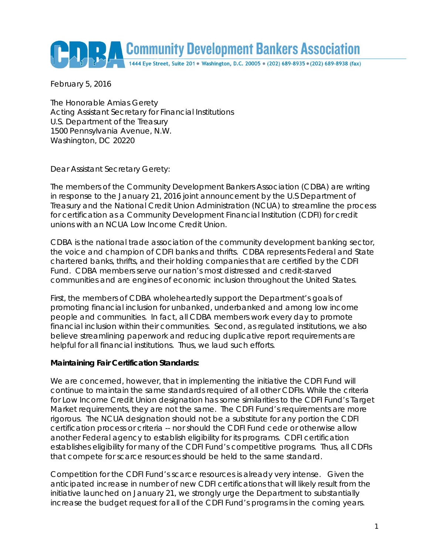# Community Development Bankers Association

February 5, 2016

The Honorable Amias Gerety Acting Assistant Secretary for Financial Institutions U.S. Department of the Treasury 1500 Pennsylvania Avenue, N.W. Washington, DC 20220

Dear Assistant Secretary Gerety:

The members of the Community Development Bankers Association (CDBA) are writing in response to the January 21, 2016 joint announcement by the U.S Department of Treasury and the National Credit Union Administration (NCUA) to streamline the process for certification as a Community Development Financial Institution (CDFI) for credit unions with an NCUA Low Income Credit Union.

CDBA is the national trade association of the community development banking sector, the voice and champion of CDFI banks and thrifts. CDBA represents Federal and State chartered banks, thrifts, and their holding companies that are certified by the CDFI Fund. CDBA members serve our nation's most distressed and credit-starved communities and are engines of economic inclusion throughout the United States.

First, the members of CDBA wholeheartedly support the Department's goals of promoting financial inclusion for unbanked, underbanked and among low income people and communities. In fact, all CDBA members work every day to promote financial inclusion within their communities. Second, as regulated institutions, we also believe streamlining paperwork and reducing duplicative report requirements are helpful for all financial institutions. Thus, we laud such efforts.

#### **Maintaining Fair Certification Standards:**

We are concerned, however, that in implementing the initiative the CDFI Fund will continue to maintain the same standards required of all other CDFIs. While the criteria for Low Income Credit Union designation has some similarities to the CDFI Fund's Target Market requirements, they are not the same. The CDFI Fund's requirements are more rigorous. The NCUA designation should not be a substitute for any portion the CDFI certification process or criteria -- nor should the CDFI Fund cede or otherwise allow another Federal agency to establish eligibility for its programs. CDFI certification establishes eligibility for many of the CDFI Fund's competitive programs. Thus, all CDFIs that compete for scarce resources should be held to the same standard.

Competition for the CDFI Fund's scarce resources is already very intense. Given the anticipated increase in number of new CDFI certifications that will likely result from the initiative launched on January 21, we strongly urge the Department to substantially increase the budget request for all of the CDFI Fund's programs in the coming years.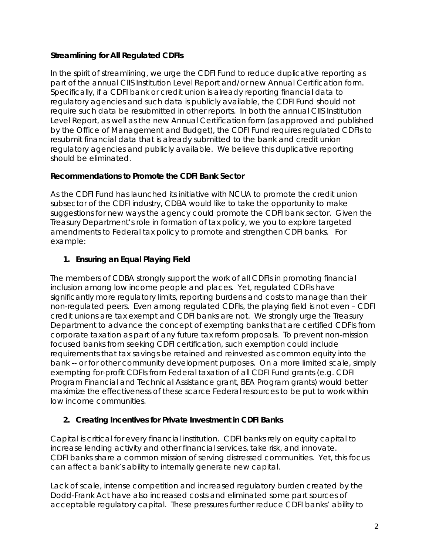#### **Streamlining for All Regulated CDFIs**

In the spirit of streamlining, we urge the CDFI Fund to reduce duplicative reporting as part of the annual CIIS Institution Level Report and/or new Annual Certification form. Specifically, if a CDFI bank or credit union is already reporting financial data to regulatory agencies and such data is publicly available, the CDFI Fund should not require such data be resubmitted in other reports. In both the annual CIIS Institution Level Report, as well as the new Annual Certification form (as approved and published by the Office of Management and Budget), the CDFI Fund requires regulated CDFIs to resubmit financial data that is already submitted to the bank and credit union regulatory agencies and publicly available. We believe this duplicative reporting should be eliminated.

#### **Recommendations to Promote the CDFI Bank Sector**

As the CDFI Fund has launched its initiative with NCUA to promote the credit union subsector of the CDFI industry, CDBA would like to take the opportunity to make suggestions for new ways the agency could promote the CDFI bank sector. Given the Treasury Department's role in formation of tax policy, we you to explore targeted amendments to Federal tax policy to promote and strengthen CDFI banks. For example:

## **1. Ensuring an Equal Playing Field**

The members of CDBA strongly support the work of all CDFIs in promoting financial inclusion among low income people and places. Yet, regulated CDFIs have significantly more regulatory limits, reporting burdens and costs to manage than their non-regulated peers. Even among regulated CDFIs, the playing field is not even – CDFI credit unions are tax exempt and CDFI banks are not. We strongly urge the Treasury Department to advance the concept of exempting banks that are certified CDFIs from corporate taxation as part of any future tax reform proposals. To prevent non-mission focused banks from seeking CDFI certification, such exemption could include requirements that tax savings be retained and reinvested as common equity into the bank -- or for other community development purposes. On a more limited scale, simply exempting for-profit CDFIs from Federal taxation of all CDFI Fund grants (e.g. CDFI Program Financial and Technical Assistance grant, BEA Program grants) would better maximize the effectiveness of these scarce Federal resources to be put to work within low income communities.

### **2. Creating Incentives for Private Investment in CDFI Banks**

Capital is critical for every financial institution. CDFI banks rely on equity capital to increase lending activity and other financial services, take risk, and innovate. CDFI banks share a common mission of serving distressed communities. Yet, this focus can affect a bank's ability to internally generate new capital.

Lack of scale, intense competition and increased regulatory burden created by the Dodd-Frank Act have also increased costs and eliminated some part sources of acceptable regulatory capital. These pressures further reduce CDFI banks' ability to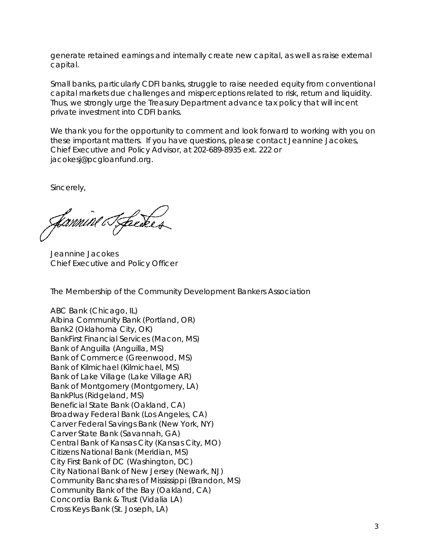generate retained earnings and internally create new capital, as well as raise external capital.

Small banks, particularly CDFI banks, struggle to raise needed equity from conventional capital markets due challenges and misperceptions related to risk, return and liquidity. Thus, we strongly urge the Treasury Department advance tax policy that will incent private investment into CDFI banks.

We thank you for the opportunity to comment and look forward to working with you on these important matters. If you have questions, please contact Jeannine Jacokes, Chief Executive and Policy Advisor, at 202-689-8935 ext. 222 or jacokesj@pcgloanfund.org.

Sincerely,

Jannine Tfackes

Jeannine Jacokes Chief Executive and Policy Officer

The Membership of the Community Development Bankers Association

ABC Bank (Chicago, IL) Albina Community Bank (Portland, OR) Bank2 (Oklahoma City, OK) BankFirst Financial Services (Macon, MS) Bank of Anguilla (Anguilla, MS) Bank of Commerce (Greenwood, MS) Bank of Kilmichael (Kilmichael, MS) Bank of Lake Village (Lake Village AR) Bank of Montgomery (Montgomery, LA) BankPlus (Ridgeland, MS) Beneficial State Bank (Oakland, CA) Broadway Federal Bank (Los Angeles, CA) Carver Federal Savings Bank (New York, NY) Carver State Bank (Savannah, GA) Central Bank of Kansas City (Kansas City, MO) Citizens National Bank (Meridian, MS) City First Bank of DC (Washington, DC) City National Bank of New Jersey (Newark, NJ) Community Bancshares of Mississippi (Brandon, MS) Community Bank of the Bay (Oakland, CA) Concordia Bank & Trust (Vidalia LA) Cross Keys Bank (St. Joseph, LA)